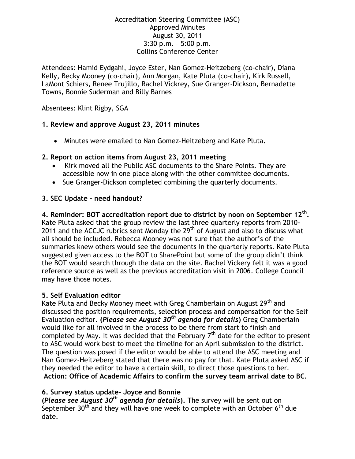#### Accreditation Steering Committee (ASC) Approved Minutes August 30, 2011 3:30 p.m. – 5:00 p.m. Collins Conference Center

Attendees: Hamid Eydgahi, Joyce Ester, Nan Gomez-Heitzeberg (co-chair), Diana Kelly, Becky Mooney (co-chair), Ann Morgan, Kate Pluta (co-chair), Kirk Russell, LaMont Schiers, Renee Trujillo, Rachel Vickrey, Sue Granger-Dickson, Bernadette Towns, Bonnie Suderman and Billy Barnes

Absentees: Klint Rigby, SGA

### **1. Review and approve August 23, 2011 minutes**

Minutes were emailed to Nan Gomez-Heitzeberg and Kate Pluta.

### **2. Report on action items from August 23, 2011 meeting**

- Kirk moved all the Public ASC documents to the Share Points. They are accessible now in one place along with the other committee documents.
- Sue Granger-Dickson completed combining the quarterly documents.

# **3. SEC Update – need handout?**

**4. Reminder: BOT accreditation report due to district by noon on September 12th .**  Kate Pluta asked that the group review the last three quarterly reports from 2010- 2011 and the ACCJC rubrics sent Monday the  $29<sup>th</sup>$  of August and also to discuss what all should be included. Rebecca Mooney was not sure that the author's of the summaries knew others would see the documents in the quarterly reports. Kate Pluta suggested given access to the BOT to SharePoint but some of the group didn't think the BOT would search through the data on the site. Rachel Vickery felt it was a good reference source as well as the previous accreditation visit in 2006. College Council may have those notes.

### **5. Self Evaluation editor**

Kate Pluta and Becky Mooney meet with Greg Chamberlain on August 29<sup>th</sup> and discussed the position requirements, selection process and compensation for the Self Evaluation editor. **(***Please see August 30th agenda for details***)** Greg Chamberlain would like for all involved in the process to be there from start to finish and completed by May. It was decided that the February  $7<sup>th</sup>$  date for the editor to present to ASC would work best to meet the timeline for an April submission to the district. The question was posed if the editor would be able to attend the ASC meeting and Nan Gomez-Heitzeberg stated that there was no pay for that. Kate Pluta asked ASC if they needed the editor to have a certain skill, to direct those questions to her. **Action: Office of Academic Affairs to confirm the survey team arrival date to BC.**

# **6. Survey status update- Joyce and Bonnie**

**(***Please see August 30th agenda for details***).** The survey will be sent out on September 30<sup>th</sup> and they will have one week to complete with an October  $6<sup>th</sup>$  due date.